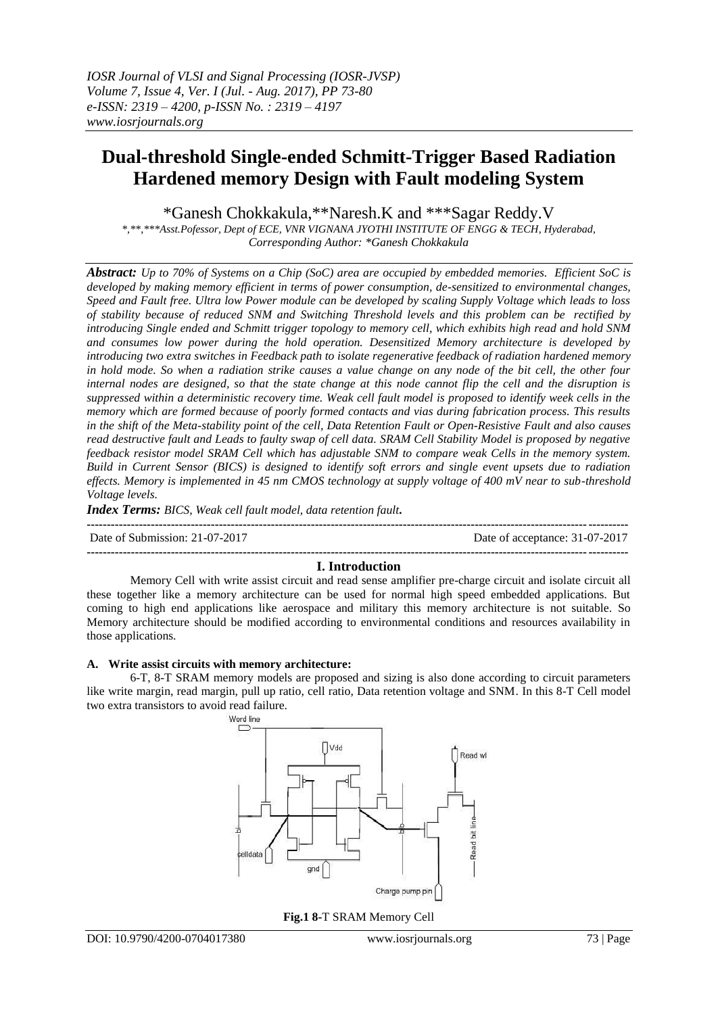# **Dual-threshold Single-ended Schmitt-Trigger Based Radiation Hardened memory Design with Fault modeling System**

\*Ganesh Chokkakula,\*\*Naresh.K and \*\*\*Sagar Reddy.V

*\*,\*\*,\*\*\*Asst.Pofessor, Dept of ECE, VNR VIGNANA JYOTHI INSTITUTE OF ENGG & TECH, Hyderabad, Corresponding Author: \*Ganesh Chokkakula*

*Abstract: Up to 70% of Systems on a Chip (SoC) area are occupied by embedded memories. Efficient SoC is developed by making memory efficient in terms of power consumption, de-sensitized to environmental changes, Speed and Fault free. Ultra low Power module can be developed by scaling Supply Voltage which leads to loss of stability because of reduced SNM and Switching Threshold levels and this problem can be rectified by introducing Single ended and Schmitt trigger topology to memory cell, which exhibits high read and hold SNM and consumes low power during the hold operation. Desensitized Memory architecture is developed by introducing two extra switches in Feedback path to isolate regenerative feedback of radiation hardened memory in hold mode. So when a radiation strike causes a value change on any node of the bit cell, the other four internal nodes are designed, so that the state change at this node cannot flip the cell and the disruption is suppressed within a deterministic recovery time. Weak cell fault model is proposed to identify week cells in the memory which are formed because of poorly formed contacts and vias during fabrication process. This results in the shift of the Meta-stability point of the cell, Data Retention Fault or Open-Resistive Fault and also causes read destructive fault and Leads to faulty swap of cell data. SRAM Cell Stability Model is proposed by negative feedback resistor model SRAM Cell which has adjustable SNM to compare weak Cells in the memory system. Build in Current Sensor (BICS) is designed to identify soft errors and single event upsets due to radiation effects. Memory is implemented in 45 nm CMOS technology at supply voltage of 400 mV near to sub-threshold Voltage levels.*

*Index Terms: BICS, Weak cell fault model, data retention fault.* 

| Date of Submission: 21-07-2017 | Date of acceptance: 31-07-2017 |
|--------------------------------|--------------------------------|
|                                |                                |

## **I. Introduction**

Memory Cell with write assist circuit and read sense amplifier pre-charge circuit and isolate circuit all these together like a memory architecture can be used for normal high speed embedded applications. But coming to high end applications like aerospace and military this memory architecture is not suitable. So Memory architecture should be modified according to environmental conditions and resources availability in those applications.

## **A. Write assist circuits with memory architecture:**

6-T, 8-T SRAM memory models are proposed and sizing is also done according to circuit parameters like write margin, read margin, pull up ratio, cell ratio, Data retention voltage and SNM. In this 8-T Cell model two extra transistors to avoid read failure.



**Fig.1 8-**T SRAM Memory Cell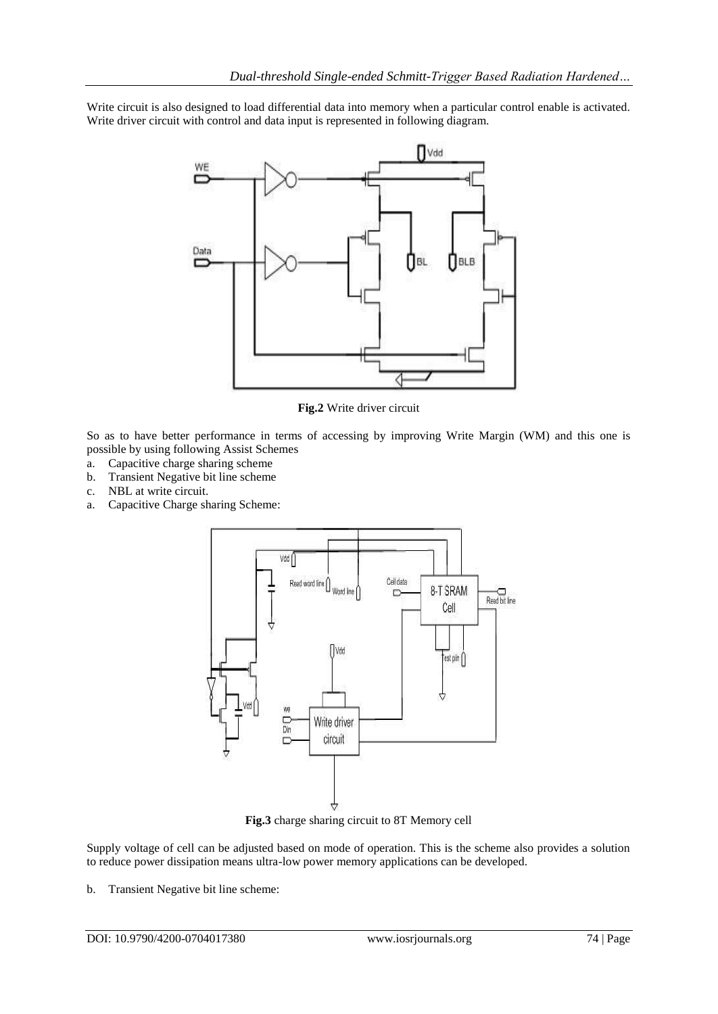Write circuit is also designed to load differential data into memory when a particular control enable is activated. Write driver circuit with control and data input is represented in following diagram.



**Fig.2** Write driver circuit

So as to have better performance in terms of accessing by improving Write Margin (WM) and this one is possible by using following Assist Schemes

- a. Capacitive charge sharing scheme
- b. Transient Negative bit line scheme
- c. NBL at write circuit.
- a. Capacitive Charge sharing Scheme:



**Fig.3** charge sharing circuit to 8T Memory cell

Supply voltage of cell can be adjusted based on mode of operation. This is the scheme also provides a solution to reduce power dissipation means ultra-low power memory applications can be developed.

b. Transient Negative bit line scheme: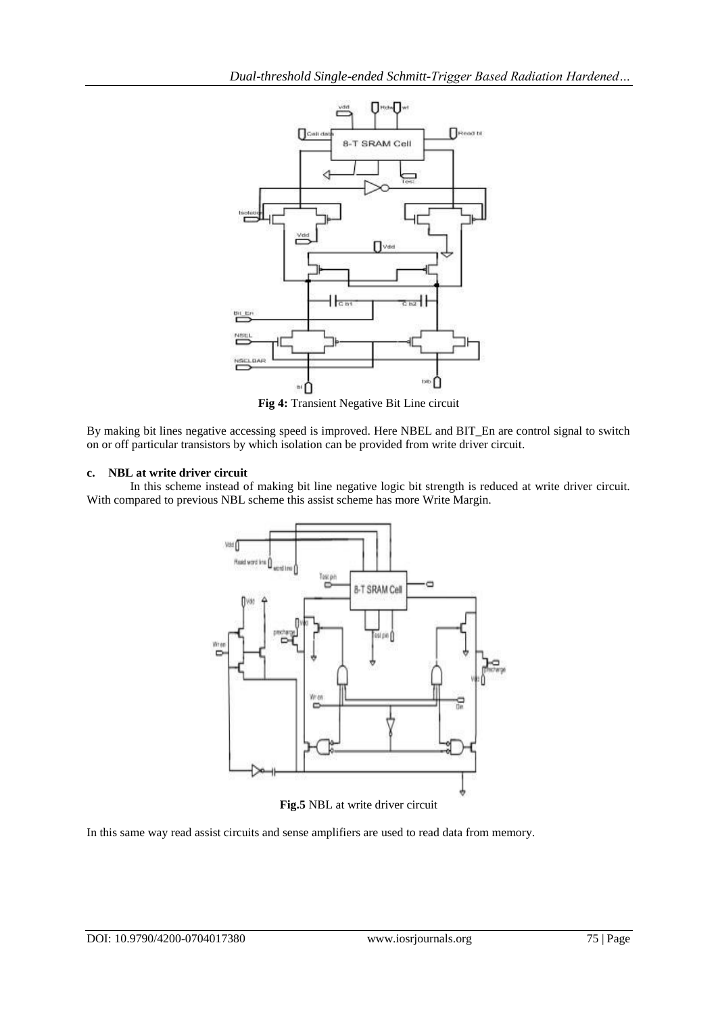

**Fig 4:** Transient Negative Bit Line circuit

By making bit lines negative accessing speed is improved. Here NBEL and BIT\_En are control signal to switch on or off particular transistors by which isolation can be provided from write driver circuit.

## **c. NBL at write driver circuit**

In this scheme instead of making bit line negative logic bit strength is reduced at write driver circuit. With compared to previous NBL scheme this assist scheme has more Write Margin.



**Fig.5** NBL at write driver circuit

In this same way read assist circuits and sense amplifiers are used to read data from memory.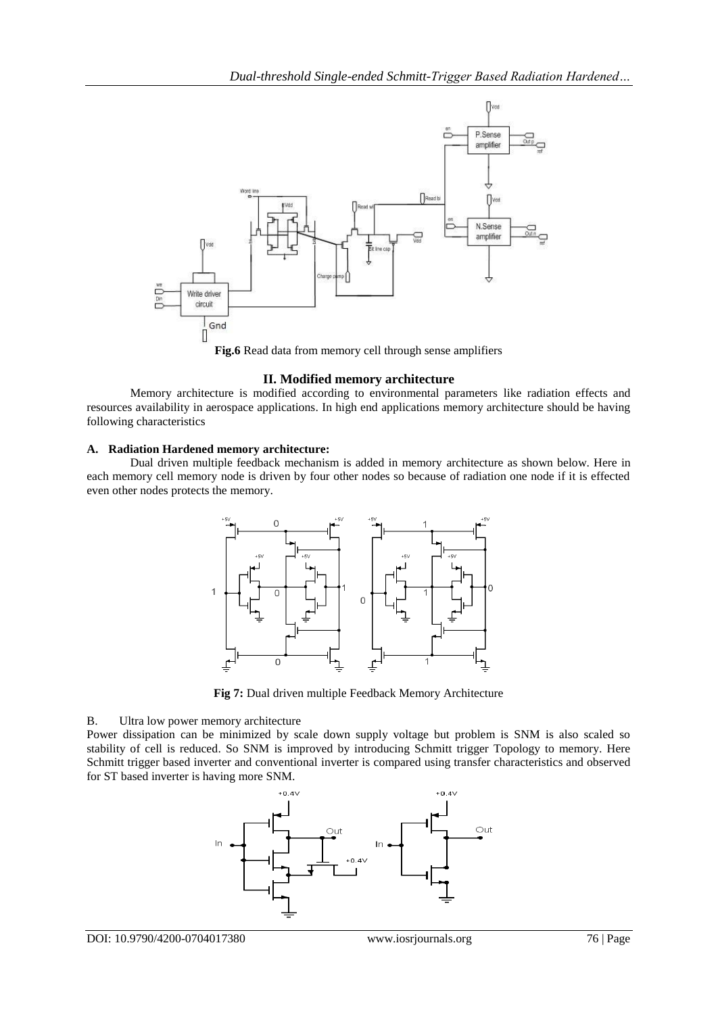

**Fig.6** Read data from memory cell through sense amplifiers

## **II. Modified memory architecture**

Memory architecture is modified according to environmental parameters like radiation effects and resources availability in aerospace applications. In high end applications memory architecture should be having following characteristics

## **A. Radiation Hardened memory architecture:**

Dual driven multiple feedback mechanism is added in memory architecture as shown below. Here in each memory cell memory node is driven by four other nodes so because of radiation one node if it is effected even other nodes protects the memory.



**Fig 7:** Dual driven multiple Feedback Memory Architecture

## B. Ultra low power memory architecture

Power dissipation can be minimized by scale down supply voltage but problem is SNM is also scaled so stability of cell is reduced. So SNM is improved by introducing Schmitt trigger Topology to memory. Here Schmitt trigger based inverter and conventional inverter is compared using transfer characteristics and observed for ST based inverter is having more SNM.

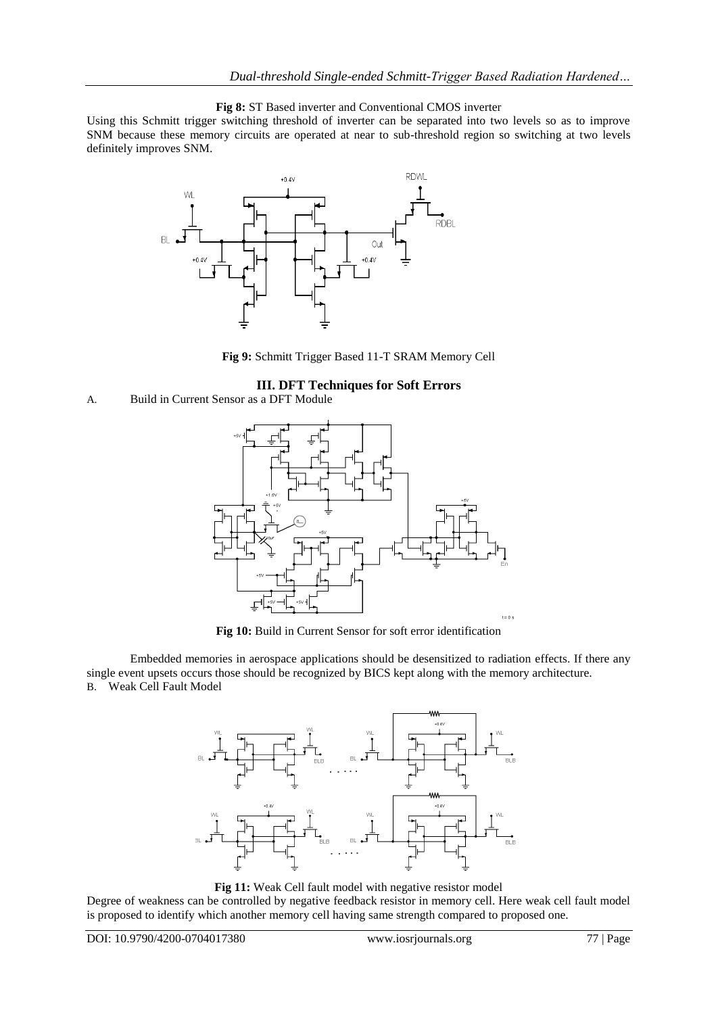## **Fig 8:** ST Based inverter and Conventional CMOS inverter

Using this Schmitt trigger switching threshold of inverter can be separated into two levels so as to improve SNM because these memory circuits are operated at near to sub-threshold region so switching at two levels definitely improves SNM.



**Fig 9:** Schmitt Trigger Based 11-T SRAM Memory Cell

## **III. DFT Techniques for Soft Errors**





**Fig 10:** Build in Current Sensor for soft error identification

Embedded memories in aerospace applications should be desensitized to radiation effects. If there any single event upsets occurs those should be recognized by BICS kept along with the memory architecture. B. Weak Cell Fault Model



Fig 11: Weak Cell fault model with negative resistor model

Degree of weakness can be controlled by negative feedback resistor in memory cell. Here weak cell fault model is proposed to identify which another memory cell having same strength compared to proposed one.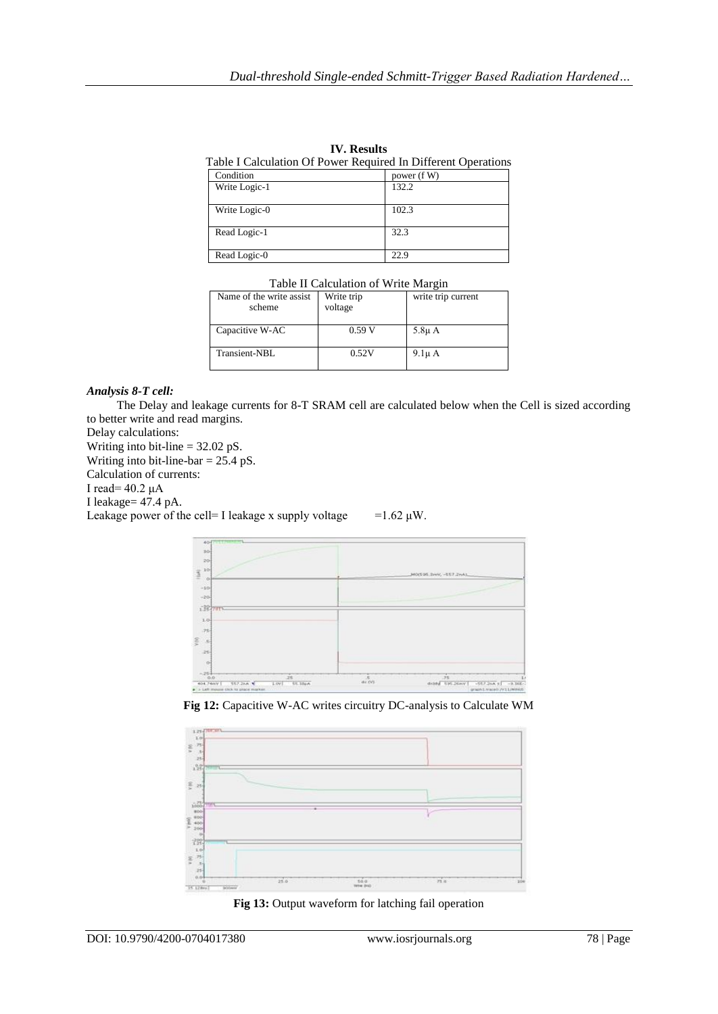| Table I Calculation Of Power Required In Different Operations |             |  |
|---------------------------------------------------------------|-------------|--|
| Condition                                                     | power (f W) |  |
| Write Logic-1                                                 | 132.2       |  |
| Write Logic-0                                                 | 102.3       |  |
| Read Logic-1                                                  | 32.3        |  |
| Read Logic-0                                                  | 22.9        |  |

| <b>IV.</b> Results                                           |  |  |  |
|--------------------------------------------------------------|--|--|--|
| able I Calculation Of Power Required In Different Operations |  |  |  |
|                                                              |  |  |  |

| Table II Calculation of Write Margin |
|--------------------------------------|
|--------------------------------------|

| Name of the write assist<br>scheme | Write trip<br>voltage | write trip current |
|------------------------------------|-----------------------|--------------------|
| Capacitive W-AC                    | 0.59V                 | $5.8\mu$ A         |
| Transient-NBL                      | 0.52V                 | $9.1\mu$ A         |

## *Analysis 8-T cell:*

 The Delay and leakage currents for 8-T SRAM cell are calculated below when the Cell is sized according to better write and read margins.

Delay calculations:

Writing into bit-line = 32.02 pS. Writing into bit-line-bar = 25.4 pS.

Calculation of currents:

I read= 40.2 μA

I leakage= 47.4 pA.

Leakage power of the cell= I leakage x supply voltage =1.62  $\mu$ W.



**Fig 12:** Capacitive W-AC writes circuitry DC-analysis to Calculate WM



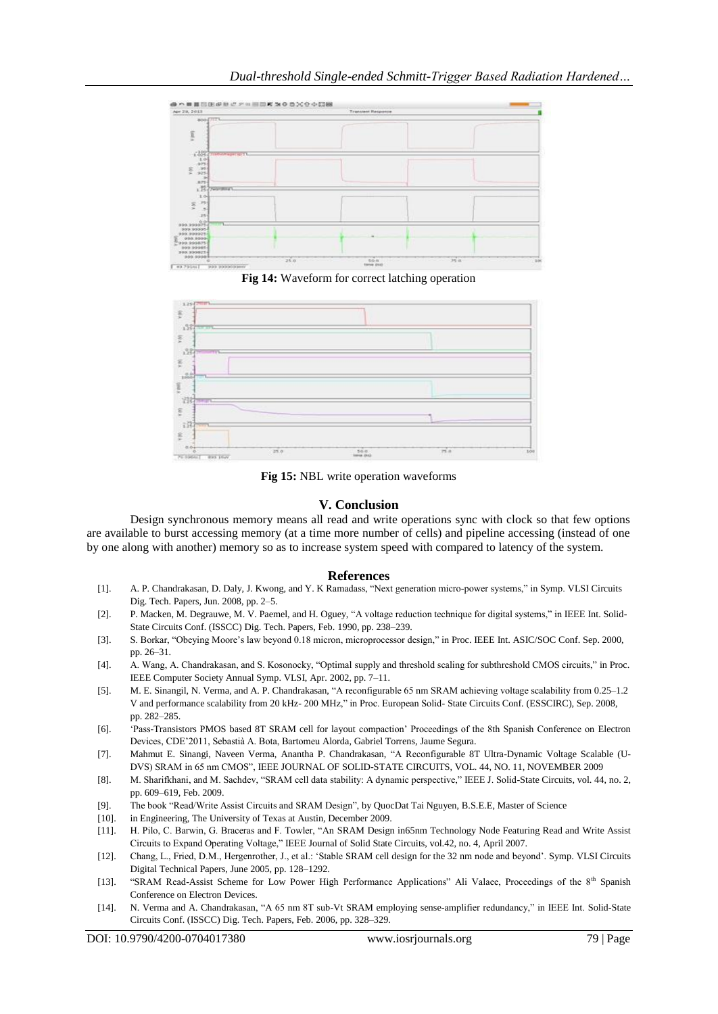

**Fig 14:** Waveform for correct latching operation



**Fig 15:** NBL write operation waveforms

## **V. Conclusion**

Design synchronous memory means all read and write operations sync with clock so that few options are available to burst accessing memory (at a time more number of cells) and pipeline accessing (instead of one by one along with another) memory so as to increase system speed with compared to latency of the system.

## **References**

- [1]. A. P. Chandrakasan, D. Daly, J. Kwong, and Y. K Ramadass, "Next generation micro-power systems," in Symp. VLSI Circuits Dig. Tech. Papers, Jun. 2008, pp. 2–5.
- [2]. P. Macken, M. Degrauwe, M. V. Paemel, and H. Oguey, "A voltage reduction technique for digital systems," in IEEE Int. Solid-State Circuits Conf. (ISSCC) Dig. Tech. Papers, Feb. 1990, pp. 238–239.
- [3]. S. Borkar, "Obeying Moore"s law beyond 0.18 micron, microprocessor design," in Proc. IEEE Int. ASIC/SOC Conf. Sep. 2000, pp. 26–31.
- [4]. A. Wang, A. Chandrakasan, and S. Kosonocky, "Optimal supply and threshold scaling for subthreshold CMOS circuits," in Proc. IEEE Computer Society Annual Symp. VLSI, Apr. 2002, pp. 7–11.
- [5]. M. E. Sinangil, N. Verma, and A. P. Chandrakasan, "A reconfigurable 65 nm SRAM achieving voltage scalability from 0.25–1.2 V and performance scalability from 20 kHz- 200 MHz," in Proc. European Solid- State Circuits Conf. (ESSCIRC), Sep. 2008, pp. 282–285.
- [6]. "Pass-Transistors PMOS based 8T SRAM cell for layout compaction" Proceedings of the 8th Spanish Conference on Electron Devices, CDE"2011, Sebastià A. Bota, Bartomeu Alorda, Gabriel Torrens, Jaume Segura.
- [7]. Mahmut E. Sinangi, Naveen Verma, Anantha P. Chandrakasan, "A Reconfigurable 8T Ultra-Dynamic Voltage Scalable (U-DVS) SRAM in 65 nm CMOS", IEEE JOURNAL OF SOLID-STATE CIRCUITS, VOL. 44, NO. 11, NOVEMBER 2009
- [8]. M. Sharifkhani, and M. Sachdev, "SRAM cell data stability: A dynamic perspective," IEEE J. Solid-State Circuits, vol. 44, no. 2, pp. 609–619, Feb. 2009.
- [9]. The book "Read/Write Assist Circuits and SRAM Design", by QuocDat Tai Nguyen, B.S.E.E, Master of Science
- [10]. in Engineering, The University of Texas at Austin, December 2009.
- [11]. H. Pilo, C. Barwin, G. Braceras and F. Towler, "An SRAM Design in65nm Technology Node Featuring Read and Write Assist Circuits to Expand Operating Voltage," IEEE Journal of Solid State Circuits, vol.42, no. 4, April 2007.
- [12]. Chang, L., Fried, D.M., Hergenrother, J., et al.: 'Stable SRAM cell design for the 32 nm node and beyond'. Symp. VLSI Circuits Digital Technical Papers, June 2005, pp. 128–1292.
- [13]. "SRAM Read-Assist Scheme for Low Power High Performance Applications" Ali Valaee, Proceedings of the 8<sup>th</sup> Spanish Conference on Electron Devices.
- [14]. N. Verma and A. Chandrakasan, "A 65 nm 8T sub-Vt SRAM employing sense-amplifier redundancy," in IEEE Int. Solid-State Circuits Conf. (ISSCC) Dig. Tech. Papers, Feb. 2006, pp. 328–329.